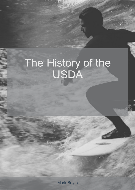## The History of the USDA

Mark Boyle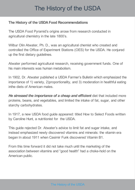## The History of the USDA

## **The History of the USDAFood Recommendations**

The USDA Food Pyramid's origins arose from research conducted in agricultural chemistry in the late 1800's.

Wilbur Olin Atwater, Ph. D., was an agricultural chemist who created and controlled the Office of Experiment Stations (OES) for the USDA. He conjured up the first dietary guidelines.

Atwater performed agricultural research, receiving government funds. One of his main interests was human metabolism.

In 1902, Dr. Atwater published a USDA Farmer's Bulletin which emphasized the importance of 1) variety, 2)proportionality, and 3) moderation in healthful eating inthe diets of American males.

*He stressed the importance of a cheap and efficient* diet that included more proteins, beans, and vegetables, and limited the intake of fat, sugar, and other starchy carbohydrates.

In 1917, a new USDA food guide appeared: titled How to Select Foods written by Caroline Hunt, a nutritionist for the USDA.

This guide rejected Dr. Atwater's advice to limit fat and sugar intake, and instead emphasized newly discovered vitamins and minerals: the vitamin era began In about 1911 when Casimir Funk discovered Vitamin B1.

From this time forward it did not take much until the marketing of the association between vitamins and "good health" had a choke-hold on the American public.